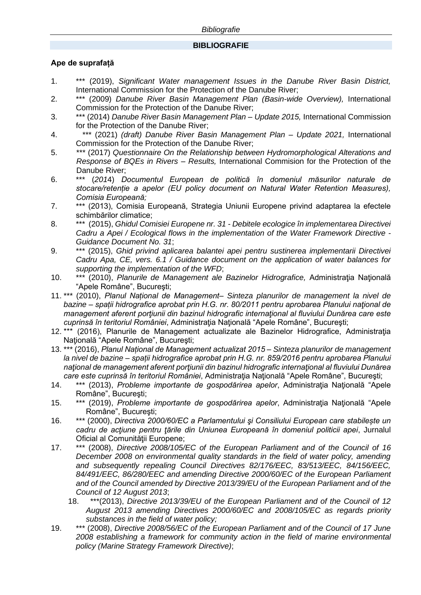## **BIBLIOGRAFIE**

## **Ape de suprafață**

- 1. \*\*\* (2019), *Significant Water management Issues in the Danube River Basin District,* International Commission for the Protection of the Danube River;
- 2. \*\*\* (2009) *Danube River Basin Management Plan (Basin-wide Overview),* International Commission for the Protection of the Danube River;
- 3. \*\*\* (2014) *Danube River Basin Management Plan – Update 2015,* International Commission for the Protection of the Danube River;
- 4. \*\*\* (2021) *(draft) Danube River Basin Management Plan – Update 2021,* International Commission for the Protection of the Danube River;
- 5. \*\*\* (2017) *Questionnaire On the Relationship between Hydromorphological Alterations and Response of BQEs in Rivers – Results,* International Commision for the Protection of the Danube River;
- 6. \*\*\* (*201*4) *Documentul European de politică în domeniul măsurilor naturale de stocare/retenție a apelor (EU policy document on Natural Water Retention Measures), Comisia Europeană;*
- 7. \*\*\* (2013), Comisia Europeană, Strategia Uniunii Europene privind adaptarea la efectele schimbărilor climatice;
- 8. \*\*\* (2015), *Ghidul Comisiei Europene nr. 31 - Debitele ecologice în implementarea Directivei Cadru a Apei / Ecological flows in the implementation of the Water Framework Directive - Guidance Document No. 31*;
- 9. \*\*\* (2015), *Ghid privind aplicarea balantei apei pentru sustinerea implementarii Directivei Cadru Apa, CE, vers. 6.1 / Guidance document on the application of water balances for supporting the implementation of the WFD*;
- 10. \*\*\* (2010), *Planurile de Management ale Bazinelor Hidrografice,* Administraţia Naţională "Apele Române", Bucureşti;
- 11. \*\*\* (2010), *Planul Național de Management– Sinteza planurilor de management la nivel de bazine – spații hidrografice aprobat prin H.G. nr. 80/2011 pentru aprobarea Planului naţional de management aferent porţiunii din bazinul hidrografic internaţional al fluviului Dunărea care este cuprinsă în teritoriul României*, Administraţia Naţională "Apele Române", Bucureşti;
- 12. \*\*\* (2016), Planurile de Management actualizate ale Bazinelor Hidrografice, Administraţia Naţională "Apele Române", Bucureşti;
- 13. \*\*\* (2016), *Planul Național de Management actualizat 2015 – Sinteza planurilor de management la nivel de bazine – spații hidrografice aprobat prin H.G. nr. 859/2016 pentru aprobarea Planului naţional de management aferent porţiunii din bazinul hidrografic internaţional al fluviului Dunărea care este cuprinsă în teritoriul României*, Administraţia Naţională "Apele Române", Bucureşti;
- 14. \*\*\* (2013), *Probleme importante de gospodărirea apelor*, Administraţia Naţională "Apele Române", Bucureşti;
- 15. \*\*\* (2019), *Probleme importante de gospodărirea apelor*, Administraţia Naţională "Apele Române", Bucureşti;
- 16. \*\*\* (2000), *Directiva 2000/60/EC a Parlamentului şi Consiliului European care stabilește un cadru de acţiune pentru ţările din Uniunea Europeană în domeniul politicii apei*, Jurnalul Oficial al Comunităţii Europene;
- 17. \*\*\* (2008), *Directive 2008/105/EC of the European Parliament and of the Council of 16 December 2008 on environmental quality standards in the field of water policy, amending and subsequently repealing Council Directives 82/176/EEC, 83/513/EEC, 84/156/EEC, 84/491/EEC, 86/280/EEC and amending Directive 2000/60/EC of the European Parliament and of the Council amended by Directive 2013/39/EU of the European Parliament and of the Council of 12 August 2013*;
	- 18. \*\*\*(2013), *Directive 2013/39/EU of the European Parliament and of the Council of 12 August 2013 amending Directives 2000/60/EC and 2008/105/EC as regards priority substances in the field of water policy;*
- 19. \*\*\* (2008), *Directive 2008/56/EC of the European Parliament and of the Council of 17 June 2008 establishing a framework for community action in the field of marine environmental policy (Marine Strategy Framework Directive)*;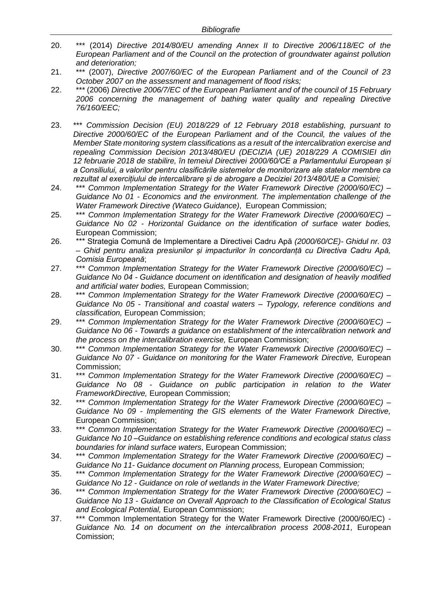- 20. \*\*\* (2014) *Directive 2014/80/EU amending Annex II to Directive 2006/118/EC of the European Parliament and of the Council on the protection of groundwater against pollution and deterioration;*
- 21. \*\*\* (2007), *Directive 2007/60/EC of the European Parliament and of the Council of 23 October 2007 on the assessment and management of flood risks;*
- 22. \*\*\* (2006) *Directive 2006/7/EC of the European Parliament and of the council of 15 February 2006 concerning the management of bathing water quality and repealing Directive 76/160/EEC;*
- 23. \*\*\* *Commission Decision (EU) 2018/229 of 12 February 2018 establishing, pursuant to Directive 2000/60/EC of the European Parliament and of the Council, the values of the Member State monitoring system classifications as a result of the intercalibration exercise and repealing Commission Decision 2013/480/EU (DECIZIA (UE) 2018/229 A COMISIEI din 12 februarie 2018 de stabilire, în temeiul Directivei 2000/60/CE a Parlamentului European și a Consiliului, a valorilor pentru clasificările sistemelor de monitorizare ale statelor membre ca rezultat al exercițiului de intercalibrare și de abrogare a Deciziei 2013/480/UE a Comisiei;*
- 24. \*\*\* *Common Implementation Strategy for the Water Framework Directive (2000/60/EC) – Guidance No 01 - Economics and the environment. The implementation challenge of the Water Framework Directive (Wateco Guidance)*, European Commission;
- 25. \*\*\* *Common Implementation Strategy for the Water Framework Directive (2000/60/EC) – Guidance No 02 - Horizontal Guidance on the identification of surface water bodies,*  European Commission;
- 26. \*\*\* Strategia Comună de Implementare a Directivei Cadru Apă *(2000/60/CE)- Ghidul nr. 03 – Ghid pentru analiza presiunilor și impacturilor în concordanță cu Directiva Cadru Apă, Comisia Europeană*;
- 27. \*\*\* *Common Implementation Strategy for the Water Framework Directive (2000/60/EC) – Guidance No 04 - Guidance document on identification and designation of heavily modified and artificial water bodies,* European Commission;
- 28. \*\*\* *Common Implementation Strategy for the Water Framework Directive (2000/60/EC) – Guidance No 05 - Transitional and coastal waters – Typology, reference conditions and classification,* European Commission;
- 29. \*\*\* *Common Implementation Strategy for the Water Framework Directive (2000/60/EC) – Guidance No 06 - Towards a guidance on establishment of the intercalibration network and the process on the intercalibration exercise,* European Commission;
- 30. \*\*\* *Common Implementation Strategy for the Water Framework Directive (2000/60/EC) – Guidance No 07 - Guidance on monitoring for the Water Framework Directive,* European Commission;
- 31. \*\*\* *Common Implementation Strategy for the Water Framework Directive (2000/60/EC) – Guidance No 08 - Guidance on public participation in relation to the Water FrameworkDirective,* European Commission;
- 32. \*\*\* *Common Implementation Strategy for the Water Framework Directive (2000/60/EC) – Guidance No 09 - Implementing the GIS elements of the Water Framework Directive,*  European Commission;
- 33. \*\*\* *Common Implementation Strategy for the Water Framework Directive (2000/60/EC) Guidance No 10 –Guidance on establishing reference conditions and ecological status class boundaries for inland surface waters*, European Commission;
- 34. \*\*\* *Common Implementation Strategy for the Water Framework Directive (2000/60/EC) – Guidance No 11- Guidance document on Planning process,* European Commission;
- 35. \*\*\* *Common Implementation Strategy for the Water Framework Directive (2000/60/EC) – Guidance No 12 - Guidance on role of wetlands in the Water Framework Directive;*
- 36. \*\*\* *Common Implementation Strategy for the Water Framework Directive (2000/60/EC) – Guidance No 13 - Guidance on Overall Approach to the Classification of Ecological Status and Ecological Potential,* European Commission;
- 37. \*\*\* Common Implementation Strategy for the Water Framework Directive (2000/60/EC) *Guidance No. 14 on document on the intercalibration process 2008-2011*, European Comission;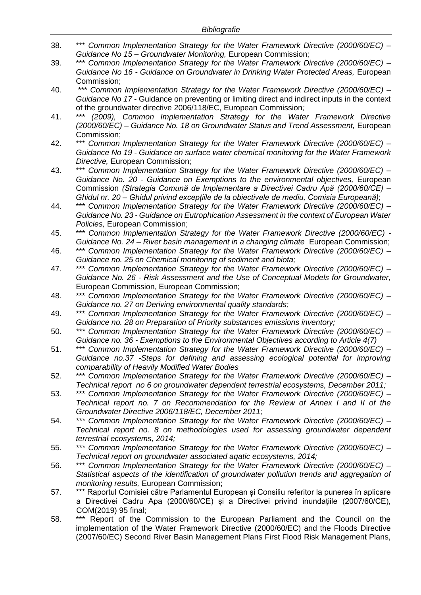- 38. \*\*\* *Common Implementation Strategy for the Water Framework Directive (2000/60/EC) – Guidance No 15 – Groundwater Monitoring,* European Commission;
- 39. \*\*\* *Common Implementation Strategy for the Water Framework Directive (2000/60/EC) – Guidance No 16 - Guidance on Groundwater in Drinking Water Protected Areas,* European Commission;
- 40. \*\*\* *Common Implementation Strategy for the Water Framework Directive (2000/60/EC) – Guidance No 17* - Guidance on preventing or limiting direct and indirect inputs in the context of the groundwater directive 2006/118/EC, European Commission*;*
- 41. \*\*\* *(2009), Common Implementation Strategy for the Water Framework Directive (2000/60/EC) – Guidance No. 18 on Groundwater Status and Trend Assessment,* European Commission;
- 42. \*\*\* *Common Implementation Strategy for the Water Framework Directive (2000/60/EC) – Guidance No 19 - Guidance on surface water chemical monitoring for the Water Framework Directive,* European Commission;
- 43. \*\*\* *Common Implementation Strategy for the Water Framework Directive (2000/60/EC) – Guidance No. 20 - Guidance on Exemptions to the environmental objectives,* European Commission *(Strategia Comună de Implementare a Directivei Cadru Apă (2000/60/CE) – Ghidul nr. 20 – Ghidul privind excepțiile de la obiectivele de mediu, Comisia Europeană)*;
- 44. \*\*\* *Common Implementation Strategy for the Water Framework Directive (2000/60/EC) – Guidance No. 23 - Guidance on Eutrophication Assessment in the context of European Water Policies,* European Commission;
- 45. \*\*\* *Common Implementation Strategy for the Water Framework Directive (2000/60/EC) - Guidance No. 24 – River basin management in a changing climate* European Commission;
- 46. \*\*\* *Common Implementation Strategy for the Water Framework Directive (2000/60/EC) – Guidance no. 25 on Chemical monitoring of sediment and biota;*
- 47. \*\*\* *Common Implementation Strategy for the Water Framework Directive (2000/60/EC) – Guidance No. 26 - Risk Assessment and the Use of Conceptual Models for Groundwater,*  European Commission, European Commission;
- 48. \*\*\* *Common Implementation Strategy for the Water Framework Directive (2000/60/EC) – Guidance no. 27 on Deriving environmental quality standards;*
- 49. \*\*\* *Common Implementation Strategy for the Water Framework Directive (2000/60/EC) – Guidance no. 28 on Preparation of Priority substances emissions inventory;*
- 50. *\*\*\* Common Implementation Strategy for the Water Framework Directive (2000/60/EC) – Guidance no. 36 - Exemptions to the Environmental Objectives according to Article 4(7)*
- 51. \*\*\* *Common Implementation Strategy for the Water Framework Directive (2000/60/EC) – Guidance no.37 -Steps for defining and assessing ecological potential for improving comparability of Heavily Modified Water Bodies*
- 52. \*\*\* *Common Implementation Strategy for the Water Framework Directive (2000/60/EC) – Technical report no 6 on groundwater dependent terrestrial ecosystems, December 2011;*
- 53. \*\*\* *Common Implementation Strategy for the Water Framework Directive (2000/60/EC) – Technical report no. 7 on Recommendation for the Review of Annex I and II of the Groundwater Directive 2006/118/EC, December 2011;*
- 54. *\*\*\* Common Implementation Strategy for the Water Framework Directive (2000/60/EC) – Technical report no. 8 on methodologies used for assessing groundwater dependent terrestrial ecosystems, 2014;*
- 55. *\*\*\* Common Implementation Strategy for the Water Framework Directive (2000/60/EC) – Technical report on groundwater associated aqatic ecosystems, 2014;*
- 56. \*\*\* *Common Implementation Strategy for the Water Framework Directive (2000/60/EC) – Statistical aspects of the identification of groundwater pollution trends and aggregation of monitoring results,* European Commission;
- 57. \*\*\* Raportul Comisiei către Parlamentul European și Consiliu referitor la punerea în aplicare a Directivei Cadru Apa (2000/60/CE) și a Directivei privind inundațiile (2007/60/CE), COM(2019) 95 final;
- 58. \*\*\* Report of the Commission to the European Parliament and the Council on the implementation of the Water Framework Directive (2000/60/EC) and the Floods Directive (2007/60/EC) Second River Basin Management Plans First Flood Risk Management Plans,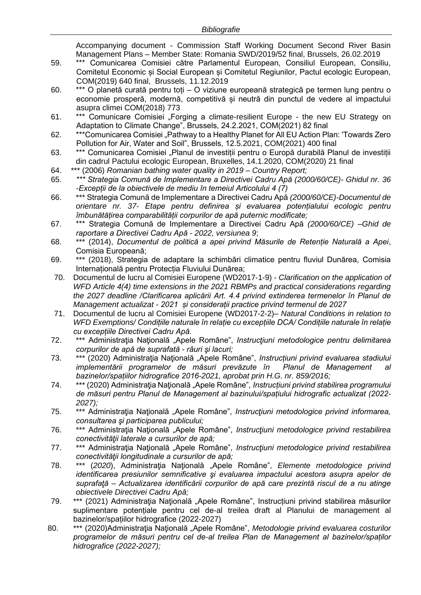Accompanying document - Commission Staff Working Document Second River Basin Management Plans – Member State: Romania SWD/2019/52 final, Brussels, 26.02.2019

- 59. \*\*\* Comunicarea Comisiei către Parlamentul European, Consiliul European, Consiliu, Comitetul Economic și Social European și Comitetul Regiunilor, Pactul ecologic European, COM(2019) 640 final, Brussels, 11.12.2019
- 60. \*\*\* O planetă curată pentru toți O viziune europeană strategică pe termen lung pentru o economie prosperă, modernă, competitivă și neutră din punctul de vedere al impactului asupra climei COM(2018) 773
- 61. \*\*\* Comunicare Comisiei "Forging a climate-resilient Europe the new EU Strategy on Adaptation to Climate Change", Brussels, 24.2.2021, COM(2021) 82 final
- 62. \*\*\*Comunicarea Comisiei "Pathway to a Healthy Planet for All EU Action Plan: 'Towards Zero Pollution for Air, Water and Soil", Brussels, 12.5.2021, COM(2021) 400 final
- 63. \*\*\* Comunicarea Comisiei "Planul de investiții pentru o Europă durabilă Planul de investiții din cadrul Pactului ecologic European, Bruxelles, 14.1.2020, COM(2020) 21 final
- 64. \*\*\* (2006) *Romanian bathing water quality in 2019 – Country Report;*
- 65. *\*\*\* Strategia Comună de Implementare a Directivei Cadru Apă (2000/60/CE)- Ghidul nr. 36 -Excepții de la obiectivele de mediu în temeiul Articolului 4 (7)*
- 66. \*\*\* Strategia Comună de Implementare a Directivei Cadru Apă *(2000/60/CE)-Documentul de orientare nr. 37- Etape pentru definirea și evaluarea potențialului ecologic pentru îmbunătățirea comparabilității corpurilor de apă puternic modificate;*
- 67. \*\*\* Strategia Comună de Implementare a Directivei Cadru Apă *(2000/60/CE) –Ghid de raportare a Directivei Cadru Apă - 2022, versiunea 9*;
- 68. \*\*\* (2014), *Documentul de politică a apei privind Măsurile de Retenție Naturală a Apei*, Comisia Europeană;
- 69. \*\*\* (2018), Strategia de adaptare la schimbări climatice pentru fluviul Dunărea, Comisia Internațională pentru Protecția Fluviului Dunărea;
- 70. Documentul de lucru al Comisiei Europene (WD2017-1-9) *Clarification on the application of WFD Article 4(4) time extensions in the 2021 RBMPs and practical considerations regarding the 2027 deadline /Clarificarea aplicării Art. 4.4 privind extinderea termenelor în Planul de Management actualizat - 2021 și considerații practice privind termenul de 2027*
- 71. Documentul de lucru al Comisiei Europene (WD2017-2-2)– *Natural Conditions in relation to WFD Exemptions/ Condițiile naturale în relație cu excepțiile DCA/ Condițiile naturale în relație cu excepțiile Directivei Cadru Apă.*
- 72. \*\*\* Administraţia Naţională "Apele Române", *Instrucţiuni metodologice pentru delimitarea corpurilor de apă de suprafată - râuri şi lacuri;*
- 73. \*\*\* (2020) Administraţia Naţională "Apele Române", *Instrucțiuni privind evaluarea stadiului implementării programelor de măsuri prevăzute în Planul de Management al bazinelor/spațiilor hidrografice 2016-2021, aprobat prin H.G. nr. 859/2016;*
- 74. \*\*\* (2020) Administraţia Naţională "Apele Române", *Instrucțiuni privind stabilirea programului de măsuri pentru Planul de Management al bazinului/spațiului hidrografic actualizat (2022- 2027);*
- 75. \*\*\* Administraţia Naţională "Apele Române", *Instrucţiuni metodologice privind informarea, consultarea şi participarea publicului;*
- 76. \*\*\* Administraţia Naţională "Apele Române", *Instrucţiuni metodologice privind restabilirea conectivităţii laterale a cursurilor de apă;*
- 77. \*\*\* Administraţia Naţională "Apele Române", *Instrucţiuni metodologice privind restabilirea conectivităţii longitudinale a cursurilor de apă;*
- 78. \*\*\* (*2020*), Administraţia Naţională "Apele Române", *Elemente metodologice privind identificarea presiunilor semnificative şi evaluarea impactului acestora asupra apelor de suprafaţă – Actualizarea identificării corpurilor de apă care prezintă riscul de a nu atinge obiectivele Directivei Cadru Apă;*
- 79. \*\*\* (2021) Administraţia Naţională "Apele Române", Instrucțiuni privind stabilirea măsurilor suplimentare potențiale pentru cel de-al treilea draft al Planului de management al bazinelor/spațiilor hidrografice (2022-2027)
- 80. \*\*\* (2020)Administraţia Naţională "Apele Române", *Metodologie privind evaluarea costurilor programelor de măsuri pentru cel de-al treilea Plan de Management al bazinelor/spaților hidrografice (2022-2027);*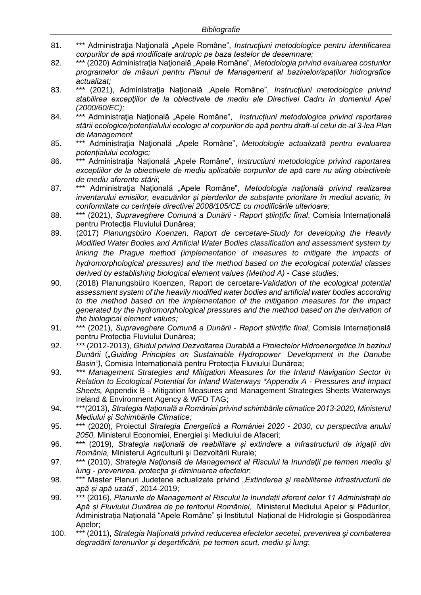- 81. \*\*\* Administraţia Naţională "Apele Române", *Instrucţiuni metodologice pentru identificarea corpurilor de apă modificate antropic pe baza testelor de desemnare;*
- 82. \*\*\* (2020) Administraţia Naţională "Apele Române", *Metodologia privind evaluarea costurilor programelor de măsuri pentru Planul de Management al bazinelor/spaților hidrografice actualizat;*
- 83. \*\*\* (2021), Administraţia Naţională "Apele Române", *Instrucţiuni metodologice privind stabilirea excepţiilor de la obiectivele de mediu ale Directivei Cadru în domeniul Apei (2000/60/EC);*
- 84. \*\*\* Administraţia Naţională "Apele Române", *Instrucțiuni metodologice privind raportarea stării ecologice/potențialului ecologic al corpurilor de apă pentru draft-ul celui de-al 3-lea Plan de Management*
- 85. \*\*\* Administraţia Naţională "Apele Române", *Metodologie actualizată pentru evaluarea potențialului ecologic;*
- 86. \*\*\* Administraţia Naţională "Apele Române", *Instructiuni metodologice privind raportarea exceptiilor de la obiectivele de mediu aplicabile corpurilor de apă care nu ating obiectivele de mediu aferente stării*;
- 87. \*\*\* Administraţia Naţională "Apele Române", *Metodologia națională privind realizarea inventarului emisiilor, evacuărilor și pierderilor de subsțante prioritare în mediul acvatic, în conformitate cu cerințele directivei 2008/105/CE cu modificările ulterioare;*
- 88. \*\*\* (2021), *Supraveghere Comună a Dunării - Raport științific final*, Comisia Internațională pentru Protecția Fluviului Dunărea;
- 89. (2017) *Planungsbüro Koenzen, Raport de cercetare-Study for developing the Heavily Modified Water Bodies and Artificial Water Bodies classification and assessment system by*  linking the Prague method (implementation of measures to mitigate the impacts of *hydromorphological pressures) and the method based on the ecological potential classes derived by establishing biological element values (Method A) - Case studies;*
- 90. (2018) Planungsbüro Koenzen, Raport de cercetare-*Validation of the ecological potential assessment system of the heavily modified water bodies and artificial water bodies according to the method based on the implementation of the mitigation measures for the impact generated by the hydromorphological pressures and the method based on the derivation of the biological element values;*
- 91. \*\*\* (2021), *Supraveghere Comună a Dunării - Raport științific final*, Comisia Internațională pentru Protecția Fluviului Dunărea;
- 92. \*\*\* (2012-2013), *Ghidul privind Dezvoltarea Durabilă a Proiectelor Hidroenergetice în bazinul Dunării* (*"Guiding Principles on Sustainable Hydropower Development in the Danube Basin"),* Comisia Internațională pentru Protecția Fluviului Dunărea;
- 93. *\*\*\* Management Strategies and Mitigation Measures for the Inland Navigation Sector in Relation to Ecological Potential for Inland Waterways \*Appendix A - Pressures and Impact Sheets,* Appendix B - Mitigation Measures and Management Strategies Sheets Waterways Ireland & Environment Agency & WFD TAG;
- 94. \*\*\*(2013), *Strategia Națională a României privind schimbările climatice 2013-2020, Ministerul Mediului și Schimbările Climatice;*
- 95. \*\*\* (2020), Proiectul *Strategia Energetică a României 2020 - 2030, cu perspectiva anului 2050,* Ministerul Economiei, Energiei și Mediului de Afaceri;
- 96. \*\*\* (2019), *Strategia naţională de reabilitare și extindere a infrastructurii de irigații din România,* Ministerul Agriculturii şi Dezvoltării Rurale;
- 97. \*\*\* (2010), *Strategia Natională de Management al Riscului la Inundații pe termen mediu și lung - prevenirea, protecţia şi diminuarea efectelor*;
- 98. \*\*\* Master Planuri Județene actualizate privind "*Extinderea şi reabilitarea infrastructurii de apă și apă uzată*", 2014-2019;
- 99. \*\*\* (2016), *Planurile de Management al Riscului la Inundații aferent celor 11 Administrații de Apă și Fluviului Dunărea de pe teritoriul României,* Ministerul Mediului Apelor și Pădurilor, Administrația Națională "Apele Române" și Institutul Național de Hidrologie și Gospodărirea Apelor;
- 100. \*\*\* (2011), *Strategia Naţională privind reducerea efectelor secetei, prevenirea şi combaterea degradării terenurilor şi deşertificării, pe termen scurt, mediu şi lung*;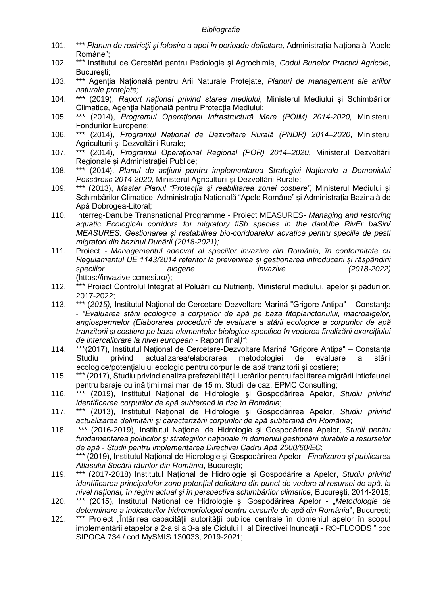- 101. \*\*\* *Planuri de restricţii şi folosire a apei în perioade deficitare,* Administrația Națională "Apele Române";
- 102. \*\*\* Institutul de Cercetări pentru Pedologie şi Agrochimie, *Codul Bunelor Practici Agricole,*  Bucureşti;
- 103. \*\*\* Agenția Națională pentru Arii Naturale Protejate, *Planuri de management ale ariilor naturale protejate;*
- 104. \*\*\* (2019), *Raport național privind starea mediului*, Ministerul Mediului și Schimbărilor Climatice, Agenţia Naţională pentru Protecţia Mediului;
- 105. \*\*\* (2014), *Programul Operaţional Infrastructură Mare (POIM) 2014-2020,* Ministerul Fondurilor Europene;
- 106. \*\*\* (2014), *Programul Național de Dezvoltare Rurală (PNDR) 2014–2020*, Ministerul Agriculturii și Dezvoltării Rurale;
- 107. \*\*\* (2014), *Programul Operațional Regional (POR) 2014–2020*, Ministerul Dezvoltării Regionale și Administrației Publice;
- 108. \*\*\* (2014), *Planul de acţiuni pentru implementarea Strategiei Naţionale a Domeniului Pescăresc 2014-2020,* Ministerul Agriculturii și Dezvoltării Rurale;
- 109. \*\*\* (2013), *Master Planul "Protecția și reabilitarea zonei costiere",* Ministerul Mediului și Schimbărilor Climatice, Administrația Națională "Apele Române" și Administrația Bazinală de Apă Dobrogea-Litoral;
- 110. Interreg-Danube Transnational Programme Proiect MEASURES*- Managing and restoring aquatic EcologicAl corridors for migratory fiSh species in the danUbe RivEr baSin/ MEASURES: Gestionarea și restabilirea bio-coridoarelor acvatice pentru speciile de pesti migratori din bazinul Dunării (2018-2021);*
- 111. Proiect *- Managementul adecvat al speciilor invazive din România, în conformitate cu Regulamentul UE 1143/2014 referitor la prevenirea și gestionarea introducerii și răspândirii speciilor alogene invazive (2018-2022)* (https://invazive.ccmesi.ro/);
- 112. \*\*\* Proiect Controlul Integrat al Poluării cu Nutrienţi, Ministerul mediului, apelor și pădurilor, 2017-2022;
- 113. \*\*\* (*2015),* Institutul Naţional de Cercetare-Dezvoltare Marină "Grigore Antipa" Constanţa - *"Evaluarea stării ecologice a corpurilor de apă pe baza fitoplanctonului, macroalgelor, angiospermelor (Elaborarea procedurii de evaluare a stării ecologice a corpurilor de apă tranzitorii și costiere pe baza elementelor biologice specifice în vederea finalizării exercițiului de intercalibrare la nivel european* - Raport final*)"*;
- 114. \*\*\*(2017), Institutul Naţional de Cercetare-Dezvoltare Marină "Grigore Antipa" Constanţa Studiu privind actualizarea/elaborarea metodologiei de evaluare a stării ecologice/potențialului ecologic pentru corpurile de apă tranzitorii și costiere;
- 115. \*\*\* (2017), Studiu privind analiza prefezabilității lucrărilor pentru facilitarea migrării ihtiofaunei pentru baraje cu înălțimi mai mari de 15 m. Studii de caz. EPMC Consulting;
- 116. \*\*\* (2019), Institutul Naţional de Hidrologie şi Gospodărirea Apelor, *Studiu privind identificarea corpurilor de apă subterană la risc în România*;
- 117. \*\*\* (2013), Institutul Naţional de Hidrologie şi Gospodărirea Apelor, *Studiu privind actualizarea delimitării şi caracterizării corpurilor de apă subterană din România*;
- 118. \*\*\* (2016-2019), Institutul Naţional de Hidrologie şi Gospodărirea Apelor, *Studii pentru fundamentarea politicilor şi strategiilor naţionale în domeniul gestionării durabile a resurselor de apă - Studii pentru implementarea Directivei Cadru Apă 2000/60/EC*; \*\*\* (2019), Institutul Național de Hidrologie și Gospodărirea Apelor - *Finalizarea și publicarea Atlasului Secării râurilor din România*, București;
- 119. \*\*\* (2017-2018) Institutul Naţional de Hidrologie şi Gospodărire a Apelor, *Studiu privind identificarea principalelor zone potențial deficitare din punct de vedere al resursei de apă, la nivel național, în regim actual și în perspectiva schimbărilor climatice*, București, 2014-2015;
- 120. \*\*\* (2015), Institutul Național de Hidrologie și Gospodărirea Apelor "*Metodologie de determinare a indicatorilor hidromorfologici pentru cursurile de apă din România*", București;
- 121. \*\*\* Proiect "Întărirea capacității autorității publice centrale în domeniul apelor în scopul implementării etapelor a 2-a si a 3-a ale Ciclului II al Directivei Inundații - RO-FLOODS " cod SIPOCA 734 / cod MySMIS 130033, 2019-2021;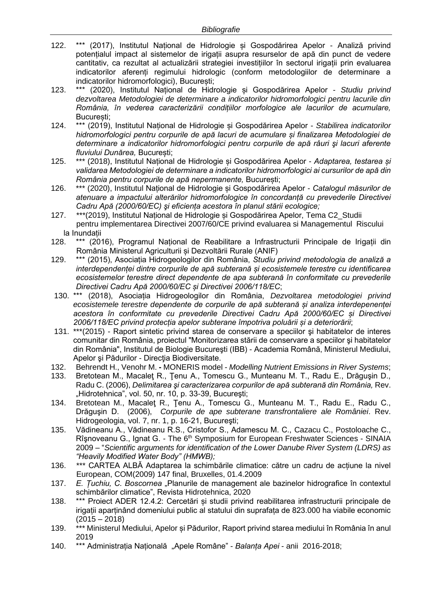- 122. \*\*\* (2017), Institutul Național de Hidrologie și Gospodărirea Apelor Analiză privind potențialul impact al sistemelor de irigații asupra resurselor de apă din punct de vedere cantitativ, ca rezultat al actualizării strategiei investițiilor în sectorul irigații prin evaluarea indicatorilor aferenți regimului hidrologic (conform metodologiilor de determinare a indicatorilor hidromorfologici), București;
- 123. \*\*\* (2020), Institutul Național de Hidrologie și Gospodărirea Apelor *Studiu privind dezvoltarea Metodologiei de determinare a indicatorilor hidromorfologici pentru lacurile din România, în vederea caracterizării condițiilor morfologice ale lacurilor de acumulare,* București;
- 124. \*\*\* (2019), Institutul Național de Hidrologie și Gospodărirea Apelor *Stabilirea indicatorilor hidromorfologici pentru corpurile de apă lacuri de acumulare și finalizarea Metodologiei de determinare a indicatorilor hidromorfologici pentru corpurile de apă râuri şi lacuri aferente fluviului Dunărea,* București;
- 125. \*\*\* (2018), Institutul Național de Hidrologie și Gospodărirea Apelor *Adaptarea, testarea și validarea Metodologiei de determinare a indicatorilor hidromorfologici ai cursurilor de apă din România pentru corpurile de apă nepermanente,* București;
- 126. \*\*\* (2020), Institutul Național de Hidrologie și Gospodărirea Apelor *Catalogul măsurilor de atenuare a impactului alterărilor hidromorfologice în concordanță cu prevederile Directivei Cadru Apă (2000/60/EC) şi eficiența acestora în planul stării ecologice;*
- 127. \*\*\*(2019), Institutul Național de Hidrologie și Gospodărirea Apelor, Tema C2\_Studii pentru implementarea Directivei 2007/60/CE privind evaluarea si Managementul Riscului la Inundații
- 128. \*\*\* (2016), Programul Național de Reabilitare a Infrastructurii Principale de Irigații din România Ministerul Agriculturii și Dezvoltării Rurale (ANIF)
- 129. \*\*\* (2015), Asociația Hidrogeologilor din România, *Studiu privind metodologia de analiză a interdependenței dintre corpurile de apă subterană și ecosistemele terestre cu identificarea ecosistemelor terestre direct dependente de apa subterană în conformitate cu prevederile Directivei Cadru Apă 2000/60/EC și Directivei 2006/118/EC*;
- 130. \*\*\* (2018), Asociația Hidrogeologilor din România, *Dezvoltarea metodologiei privind ecosistemele terestre dependente de corpurile de apă subterană și analiza interdepenenței acestora în conformitate cu prevederile Directivei Cadru Apă 2000/60/EC și Directivei 2006/118/EC privind protecția apelor subterane împotriva poluării și a deteriorării*;
- 131. \*\*\*(2015) Raport sintetic privind starea de conservare a speciilor şi habitatelor de interes comunitar din România, proiectul "Monitorizarea stării de conservare a speciilor şi habitatelor din România", Institutul de Biologie Bucureşti (IBB) - Academia Română, Ministerul Mediului, Apelor şi Pădurilor - Direcţia Biodiversitate.
- 132. Behrendt H., Venohr M. **-** MONERIS model *Modelling Nutrient Emissions in River Systems*;
- 133. Bretotean M., Macaleţ R., Ţenu A., Tomescu G., Munteanu M. T., Radu E., Drăguşin D., Radu C. (2006), *Delimitarea şi caracterizarea corpurilor de apă subterană din România,* Rev. "Hidrotehnica", vol. 50, nr. 10, p. 33-39, București;
- 134. Bretotean M., Macaleţ R., Ţenu A., Tomescu G., Munteanu M. T., Radu E., Radu C., Drăguşin D. (2006), *Corpurile de ape subterane transfrontaliere ale României*. Rev. Hidrogeologia, vol. 7, nr. 1, p. 16-21, Bucureşti;
- 135. Vădineanu A., Vădineanu R.S., Cristofor S., Adamescu M. C., Cazacu C., Postoloache C., Rîşnoveanu G., Ignat G. - The 6<sup>th</sup> Symposium for European Freshwater Sciences - SINAIA 2009 – "*Scientific arguments for identification of the Lower Danube River System (LDRS) as "Heavily Modified Water Body" (HMWB);*
- 136. \*\*\* CARTEA ALBĂ Adaptarea la schimbările climatice: către un cadru de acțiune la nivel European, COM(2009) 147 final, Bruxelles, 01.4.2009
- 137. *E. Țuchiu, C. Boscornea* "Planurile de management ale bazinelor hidrografice în contextul schimbărilor climatice", Revista Hidrotehnica, 2020
- 138. \*\*\* Proiect ADER 12.4.2: Cercetări și studii privind reabilitarea infrastructurii principale de irigații aparținând domeniului public al statului din suprafața de 823.000 ha viabile economic  $(2015 - 2018)$
- 139. \*\*\* Ministerul Mediului, Apelor și Pădurilor, Raport privind starea mediului în România în anul 2019
- 140. \*\*\* Administrația Națională "Apele Române" *Balanța Apei* anii 2016-2018;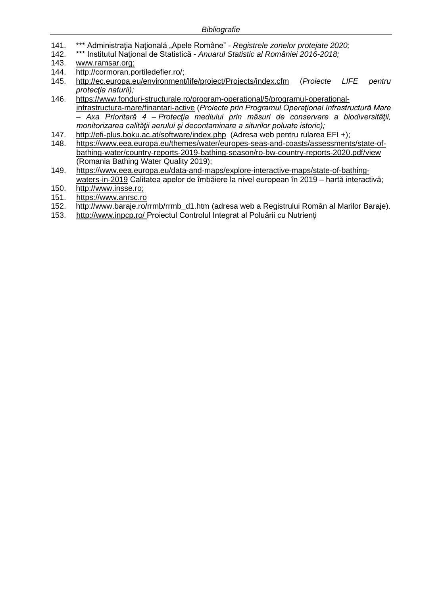- 141. \*\*\* Administrația Națională "Apele Române" *Registrele zonelor protejate 2020;*
- 142. \*\*\* Institutul Naţional de Statistică *Anuarul Statistic al României 2016-2018;*
- 143. [www.ramsar.org;](http://www.ramsar.org/)
- 144. [http://cormoran.portiledefier.ro/;](http://cormoran.portiledefier.ro/)<br>145. http://ec.europa.eu/environment
- 145. <http://ec.europa.eu/environment/life/project/Projects/index.cfm> (*Proiecte LIFE pentru protecţia naturii);*
- 146. [https://www.fonduri-structurale.ro/program-operational/5/programul-operational](https://www.fonduri-structurale.ro/program-operational/5/programul-operational-infrastructura-mare/finantari-active)[infrastructura-mare/finantari-active](https://www.fonduri-structurale.ro/program-operational/5/programul-operational-infrastructura-mare/finantari-active) (*Proiecte prin Programul Operaţional Infrastructură Mare – Axa Prioritară 4 – Protecţia mediului prin măsuri de conservare a biodiversităţii, monitorizarea calităţii aerului şi decontaminare a siturilor poluate istoric);*
- 147. <http://efi-plus.boku.ac.at/software/index.php>(Adresa web pentru rularea EFI +);<br>148. https://www.eea.europa.eu/themes/water/europes-seas-and-coasts/assessment
- [https://www.eea.europa.eu/themes/water/europes-seas-and-coasts/assessments/state-of](https://www.eea.europa.eu/themes/water/europes-seas-and-coasts/assessments/state-of-bathing-water/country-reports-2019-bathing-season/ro-bw-country-reports-2020.pdf/view)[bathing-water/country-reports-2019-bathing-season/ro-bw-country-reports-2020.pdf/view](https://www.eea.europa.eu/themes/water/europes-seas-and-coasts/assessments/state-of-bathing-water/country-reports-2019-bathing-season/ro-bw-country-reports-2020.pdf/view) (Romania Bathing Water Quality 2019);
- 149. [https://www.eea.europa.eu/data-and-maps/explore-interactive-maps/state-of-bathing](https://www.eea.europa.eu/data-and-maps/explore-interactive-maps/state-of-bathing-waters-in-2019)[waters-in-2019](https://www.eea.europa.eu/data-and-maps/explore-interactive-maps/state-of-bathing-waters-in-2019) Calitatea apelor de îmbăiere la nivel european în 2019 – hartă interactivă;
- 150. [http://www.insse.ro;](http://www.insse.ro/)
- 151. https://www.anrsc.ro
- 152. [http://www.baraje.ro/rrmb/rrmb\\_d1.htm](http://www.baraje.ro/rrmb/rrmb_d1.htm) (adresa web a Registrului Român al Marilor Baraje).
- 153. <http://www.inpcp.ro/> Proiectul Controlul Integrat al Poluării cu Nutrienți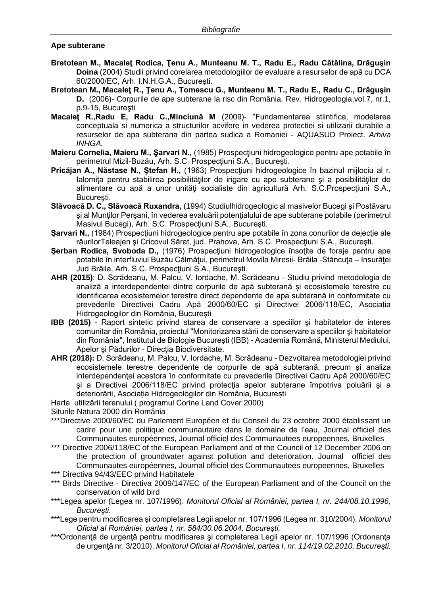## **Ape subterane**

- **Bretotean M., Macaleţ Rodica, Ţenu A., Munteanu M. T., Radu E., Radu Cătălina, Drăguşin Doina** (2004) Studii privind corelarea metodologiilor de evaluare a resurselor de apă cu DCA 60/2000/EC, Arh. I.N.H.G.A., Bucureşti.
- **Bretotean M., Macaleţ R., Ţenu A., Tomescu G., Munteanu M. T., Radu E., Radu C., Drăguşin D.** (2006)- Corpurile de ape subterane la risc din România. Rev. Hidrogeologia,vol.7, nr.1, p.9-15, Bucureşti
- **Macaleţ R.,Radu E, Radu C.,Minciună M** (2009)- "Fundamentarea stiintifica, modelarea conceptuala si numerica a structurilor acvifere in vederea protectiei si utilizarii durabile a resurselor de apa subterana din partea sudica a Romaniei - AQUASUD Proiect. *Arhiva INHGA.*
- **Maieru Cornelia, Maieru M., Sarvari N., (1985) Prospectiuni hidrogeologice pentru ape potabile în** perimetrul Mizil-Buzău, Arh. S.C. Prospecţiuni S.A., Bucureşti.
- **Pricăjan A., Năstase N., Ştefan H.,** (1963) Prospecţiuni hidrogeologice în bazinul mijlociu al r. Ialomiţa pentru stabilirea posibilităţilor de irigare cu ape subterane şi a posibilităţilor de alimentare cu apă a unor unităţi socialiste din agricultură Arh. S.C.Prospecţiuni S.A., Bucureşti.
- **Slăvoacă D. C., Slăvoacă Ruxandra,** (1994) Studiulhidrogeologic al masivelor Bucegi şi Postăvaru şi al Munţilor Perşani, în vederea evaluării potenţialului de ape subterane potabile (perimetrul Masivul Bucegi), Arh. S.C. Prospectiuni S.A., București.
- **Sarvari N.,** (1984) Prospectiuni hidrogeologice pentru ape potabile în zona conurilor de dejectie ale râurilorTeleajen şi Cricovul Sărat, jud. Prahova, Arh. S.C. Prospecţiuni S.A., Bucureşti.
- **Şerban Rodica, Svoboda D.,** (1976) Prospecţiuni hidrogeologice însoţite de foraje pentru ape potabile în interfluviul Buzău Călmătui, perimetrul Movila Miresii- Brăila -Stăncuta – Insurătei Jud Brăila, Arh. S.C. Prospecţiuni S.A., Bucureşti.
- **AHR (2015)**: D. Scrădeanu, M. Palcu, V. Iordache, M. Scrădeanu Studiu privind metodologia de analiză a interdependenței dintre corpurile de apă subterană și ecosistemele terestre cu identificarea ecosistemelor terestre direct dependente de apa subterană in conformitate cu prevederile Directivei Cadru Apă 2000/60/EC și Directivei 2006/118/EC, Asociația Hidrogeologilor din România, București
- **IBB (2015)** Raport sintetic privind starea de conservare a speciilor şi habitatelor de interes comunitar din România, proiectul "Monitorizarea stării de conservare a speciilor şi habitatelor din România", Institutul de Biologie Bucureşti (IBB) - Academia Română, Ministerul Mediului, Apelor şi Pădurilor - Direcţia Biodiversitate.
- **AHR (2018):** D. Scrădeanu, M. Palcu, V. Iordache, M. Scrădeanu Dezvoltarea metodologiei privind ecosistemele terestre dependente de corpurile de apă subterană, precum şi analiza interdependenței acestora în conformitate cu prevederile Directivei Cadru Apă 2000/60/EC şi a Directivei 2006/118/EC privind protecţia apelor subterane împotriva poluării şi a deteriorării, Asociația Hidrogeologilor din România, București
- Harta utilizării terenului ( programul Corine Land Cover 2000)

Siturile Natura 2000 din România

- \*\*\*Directive 2000/60/EC du Parlement Européen et du Conseil du 23 octobre 2000 établissant un cadre pour une politique communautaire dans le domaine de l'eau, Journal officiel des Communautes européennes, Journal officiel des Communautees europeennes, Bruxelles
- \*\*\* Directive 2006/118/EC of the European Parliament and of the Council of 12 December 2006 on the protection of groundwater against pollution and deterioration. Journal officiel des Communautes européennes, Journal officiel des Communautees europeennes, Bruxelles
- \*\*\* Directiva 94/43/EEC privind Habitatele
- \*\*\* Birds Directive Directiva 2009/147/EC of the European Parliament and of the Council on the conservation of wild bird
- \*\*\*Legea apelor (Legea nr. 107/1996). *Monitorul Oficial al României, partea I, nr. 244/08.10.1996, Bucureşti.*
- \*\*\*Lege pentru modificarea şi completarea Legii apelor nr. 107/1996 (Legea nr. 310/2004). *Monitorul Oficial al României, partea I, nr. 584/30.06.2004, Bucureşti.*
- \*\*\*Ordonanță de urgență pentru modificarea și completarea Legii apelor nr. 107/1996 (Ordonanța de urgenţă nr. 3/2010). *Monitorul Oficial al României, partea I, nr. 114/19.02.2010, Bucureşti.*